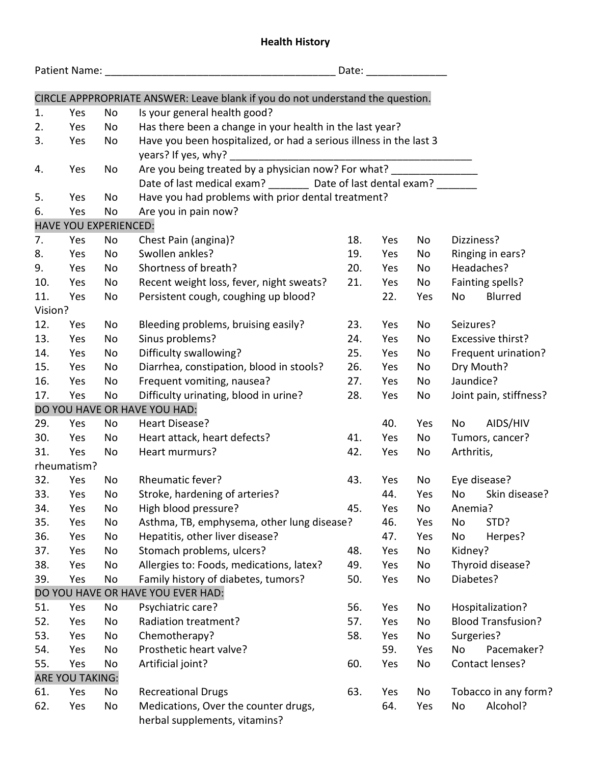## **Health History**

| Date: ________________ |                              |                                                                            |                                                                                |     |     |     |                     |                           |  |  |  |
|------------------------|------------------------------|----------------------------------------------------------------------------|--------------------------------------------------------------------------------|-----|-----|-----|---------------------|---------------------------|--|--|--|
|                        |                              |                                                                            | CIRCLE APPPROPRIATE ANSWER: Leave blank if you do not understand the question. |     |     |     |                     |                           |  |  |  |
| 1.                     | Yes                          | No                                                                         | Is your general health good?                                                   |     |     |     |                     |                           |  |  |  |
| 2.                     | Yes                          | No                                                                         | Has there been a change in your health in the last year?                       |     |     |     |                     |                           |  |  |  |
| 3.                     | Yes                          | No                                                                         | Have you been hospitalized, or had a serious illness in the last 3             |     |     |     |                     |                           |  |  |  |
|                        |                              |                                                                            | years? If yes, why?                                                            |     |     |     |                     |                           |  |  |  |
| 4.                     | Yes                          | Are you being treated by a physician now? For what? ________________<br>No |                                                                                |     |     |     |                     |                           |  |  |  |
|                        |                              |                                                                            | Date of last medical exam? _________ Date of last dental exam? ________        |     |     |     |                     |                           |  |  |  |
| 5.                     | Yes                          | No                                                                         | Have you had problems with prior dental treatment?                             |     |     |     |                     |                           |  |  |  |
| 6.                     | Yes                          | No                                                                         | Are you in pain now?                                                           |     |     |     |                     |                           |  |  |  |
|                        | <b>HAVE YOU EXPERIENCED:</b> |                                                                            |                                                                                |     |     |     |                     |                           |  |  |  |
| 7.                     | Yes                          | No                                                                         | Chest Pain (angina)?                                                           | 18. | Yes | No  | Dizziness?          |                           |  |  |  |
| 8.                     | Yes                          | <b>No</b>                                                                  | Swollen ankles?                                                                | 19. | Yes | No  |                     | Ringing in ears?          |  |  |  |
| 9.                     | Yes                          | No                                                                         | Shortness of breath?                                                           | 20. | Yes | No  |                     | Headaches?                |  |  |  |
| 10.                    | Yes                          | No                                                                         | Recent weight loss, fever, night sweats?                                       | 21. | Yes | No  |                     | Fainting spells?          |  |  |  |
| 11.                    | Yes                          | No                                                                         | Persistent cough, coughing up blood?                                           |     | 22. | Yes | No                  | Blurred                   |  |  |  |
| Vision?                |                              |                                                                            |                                                                                |     |     |     |                     |                           |  |  |  |
| 12.                    | Yes                          | No                                                                         | Bleeding problems, bruising easily?                                            | 23. | Yes | No  | Seizures?           |                           |  |  |  |
| 13.                    | Yes                          | No                                                                         | Sinus problems?                                                                | 24. | Yes | No  |                     | Excessive thirst?         |  |  |  |
| 14.                    | Yes                          | No                                                                         | Difficulty swallowing?                                                         | 25. | Yes | No  | Frequent urination? |                           |  |  |  |
| 15.                    | Yes                          | No                                                                         | Diarrhea, constipation, blood in stools?                                       | 26. | Yes | No  | Dry Mouth?          |                           |  |  |  |
| 16.                    | Yes                          | No                                                                         | Frequent vomiting, nausea?                                                     | 27. | Yes | No  | Jaundice?           |                           |  |  |  |
| 17.                    | Yes                          | No                                                                         | Difficulty urinating, blood in urine?                                          | 28. | Yes | No  |                     | Joint pain, stiffness?    |  |  |  |
|                        |                              |                                                                            | DO YOU HAVE OR HAVE YOU HAD:                                                   |     |     |     |                     |                           |  |  |  |
| 29.                    | Yes                          | No                                                                         | Heart Disease?                                                                 |     | 40. | Yes | No                  | AIDS/HIV                  |  |  |  |
| 30.                    | Yes                          | No                                                                         | Heart attack, heart defects?                                                   | 41. | Yes | No  |                     | Tumors, cancer?           |  |  |  |
| 31.                    | Yes                          | No                                                                         | Heart murmurs?                                                                 | 42. | Yes | No  | Arthritis,          |                           |  |  |  |
|                        | rheumatism?                  |                                                                            |                                                                                |     |     |     |                     |                           |  |  |  |
| 32.                    | Yes                          | No                                                                         | Rheumatic fever?                                                               | 43. | Yes | No  |                     | Eye disease?              |  |  |  |
| 33.                    | Yes                          | No                                                                         | Stroke, hardening of arteries?                                                 |     | 44. | Yes |                     | No Skin disease?          |  |  |  |
| 34.                    | Yes                          | No                                                                         | High blood pressure?                                                           | 45. | Yes | No  | Anemia?             |                           |  |  |  |
| 35.                    | Yes                          | No                                                                         | Asthma, TB, emphysema, other lung disease?<br>46.<br>Yes                       |     |     | No  | STD?                |                           |  |  |  |
| 36.                    | Yes                          | No                                                                         | Hepatitis, other liver disease?                                                |     | 47. | Yes | No                  | Herpes?                   |  |  |  |
| 37.                    | Yes                          | No                                                                         | Stomach problems, ulcers?                                                      | 48. | Yes | No  | Kidney?             |                           |  |  |  |
| 38.                    | Yes                          | No                                                                         | Allergies to: Foods, medications, latex?                                       | 49. | Yes | No  |                     | Thyroid disease?          |  |  |  |
| 39.                    | Yes                          | No                                                                         | Family history of diabetes, tumors?                                            | 50. | Yes | No  | Diabetes?           |                           |  |  |  |
|                        |                              |                                                                            | DO YOU HAVE OR HAVE YOU EVER HAD:                                              |     |     |     |                     |                           |  |  |  |
| 51.                    | Yes                          | No                                                                         | Psychiatric care?                                                              | 56. | Yes | No  | Hospitalization?    |                           |  |  |  |
| 52.                    | Yes                          | No                                                                         | Radiation treatment?                                                           | 57. | Yes | No  |                     | <b>Blood Transfusion?</b> |  |  |  |
| 53.                    | Yes                          | No                                                                         | Chemotherapy?                                                                  | 58. | Yes | No  | Surgeries?          |                           |  |  |  |
| 54.                    | Yes                          | No                                                                         | Prosthetic heart valve?                                                        |     | 59. | Yes | No                  | Pacemaker?                |  |  |  |
| 55.                    | Yes                          | No                                                                         | Artificial joint?                                                              | 60. | Yes | No  |                     | Contact lenses?           |  |  |  |
|                        | ARE YOU TAKING:              |                                                                            |                                                                                |     |     |     |                     |                           |  |  |  |
| 61.                    | Yes                          | No                                                                         | <b>Recreational Drugs</b>                                                      | 63. | Yes | No  |                     | Tobacco in any form?      |  |  |  |
| 62.                    | Yes                          | No                                                                         | Medications, Over the counter drugs,<br>herbal supplements, vitamins?          |     | 64. | Yes | No                  | Alcohol?                  |  |  |  |